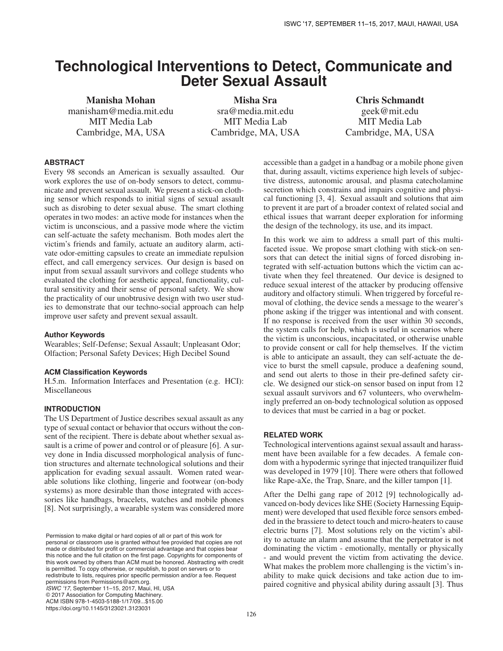# **Technological Interventions to Detect, Communicate and Deter Sexual Assault**

Manisha Mohan manisham@media.mit.edu MIT Media Lab Cambridge, MA, USA

Misha Sra sra@media.mit.edu MIT Media Lab Cambridge, MA, USA

Chris Schmandt geek@mit.edu MIT Media Lab Cambridge, MA, USA

# **ABSTRACT**

Every 98 seconds an American is sexually assaulted. Our work explores the use of on-body sensors to detect, communicate and prevent sexual assault. We present a stick-on clothing sensor which responds to initial signs of sexual assault such as disrobing to deter sexual abuse. The smart clothing operates in two modes: an active mode for instances when the victim is unconscious, and a passive mode where the victim can self-actuate the safety mechanism. Both modes alert the victim's friends and family, actuate an auditory alarm, activate odor-emitting capsules to create an immediate repulsion effect, and call emergency services. Our design is based on input from sexual assault survivors and college students who evaluated the clothing for aesthetic appeal, functionality, cultural sensitivity and their sense of personal safety. We show the practicality of our unobtrusive design with two user studies to demonstrate that our techno-social approach can help improve user safety and prevent sexual assault.

#### **Author Keywords**

Wearables; Self-Defense; Sexual Assault; Unpleasant Odor; Olfaction; Personal Safety Devices; High Decibel Sound

#### **ACM Classification Keywords**

H.5.m. Information Interfaces and Presentation (e.g. HCI): Miscellaneous

## **INTRODUCTION**

The US Department of Justice describes sexual assault as any type of sexual contact or behavior that occurs without the consent of the recipient. There is debate about whether sexual assault is a crime of power and control or of pleasure [6]. A survey done in India discussed morphological analysis of function structures and alternate technological solutions and their application for evading sexual assault. Women rated wearable solutions like clothing, lingerie and footwear (on-body systems) as more desirable than those integrated with accessories like handbags, bracelets, watches and mobile phones [8]. Not surprisingly, a wearable system was considered more

Permission to make digital or hard copies of all or part of this work for personal or classroom use is granted without fee provided that copies are not made or distributed for profit or commercial advantage and that copies bear this notice and the full citation on the first page. Copyrights for components of this work owned by others than ACM must be honored. Abstracting with credit is permitted. To copy otherwise, or republish, to post on servers or to redistribute to lists, requires prior specific permission and/or a fee. Request permissions from Permissions@acm.org. ISWC '17, September 11–15, 2017, Maui, HI, USA © 2017 Association for Computing Machinery. ACM ISBN 978-1-4503-5188-1/17/09...\$15.00

https://doi.org/10.1145/3123021.3123031

accessible than a gadget in a handbag or a mobile phone given that, during assault, victims experience high levels of subjective distress, autonomic arousal, and plasma catecholamine secretion which constrains and impairs cognitive and physical functioning [3, 4]. Sexual assault and solutions that aim to prevent it are part of a broader context of related social and ethical issues that warrant deeper exploration for informing the design of the technology, its use, and its impact.

In this work we aim to address a small part of this multifaceted issue. We propose smart clothing with stick-on sensors that can detect the initial signs of forced disrobing integrated with self-actuation buttons which the victim can activate when they feel threatened. Our device is designed to reduce sexual interest of the attacker by producing offensive auditory and olfactory stimuli. When triggered by forceful removal of clothing, the device sends a message to the wearer's phone asking if the trigger was intentional and with consent. If no response is received from the user within 30 seconds, the system calls for help, which is useful in scenarios where the victim is unconscious, incapacitated, or otherwise unable to provide consent or call for help themselves. If the victim is able to anticipate an assault, they can self-actuate the device to burst the smell capsule, produce a deafening sound, and send out alerts to those in their pre-defined safety circle. We designed our stick-on sensor based on input from 12 sexual assault survivors and 67 volunteers, who overwhelmingly preferred an on-body technological solution as opposed to devices that must be carried in a bag or pocket.

## **RELATED WORK**

Technological interventions against sexual assault and harassment have been available for a few decades. A female condom with a hypodermic syringe that injected tranquilizer fluid was developed in 1979 [10]. There were others that followed like Rape-aXe, the Trap, Snare, and the killer tampon [1].

After the Delhi gang rape of 2012 [9] technologically advanced on-body devices like SHE (Society Harnessing Equipment) were developed that used flexible force sensors embedded in the brassiere to detect touch and micro-heaters to cause electric burns [7]. Most solutions rely on the victim's ability to actuate an alarm and assume that the perpetrator is not dominating the victim - emotionally, mentally or physically - and would prevent the victim from activating the device. What makes the problem more challenging is the victim's inability to make quick decisions and take action due to impaired cognitive and physical ability during assault [3]. Thus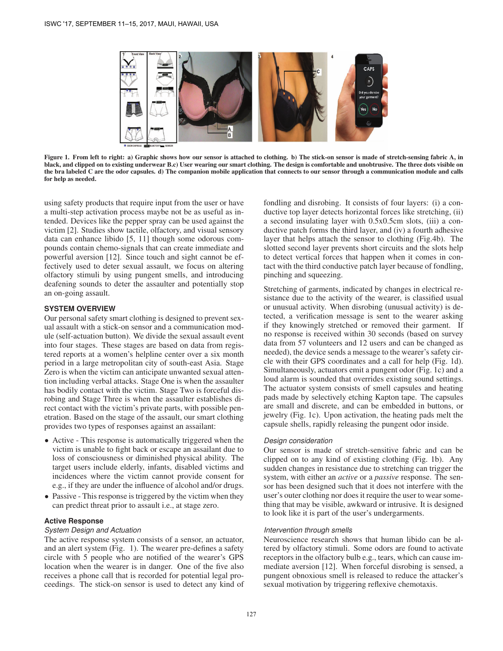

Figure 1. From left to right: a) Graphic shows how our sensor is attached to clothing. b) The stick-on sensor is made of stretch-sensing fabric A, in black, and clipped on to existing underwear B.c) User wearing our smart clothing. The design is comfortable and unobtrusive. The three dots visible on the bra labeled C are the odor capsules. d) The companion mobile application that connects to our sensor through a communication module and calls for help as needed.

using safety products that require input from the user or have a multi-step activation process maybe not be as useful as intended. Devices like the pepper spray can be used against the victim [2]. Studies show tactile, olfactory, and visual sensory data can enhance libido [5, 11] though some odorous compounds contain chemo-signals that can create immediate and powerful aversion [12]. Since touch and sight cannot be effectively used to deter sexual assault, we focus on altering olfactory stimuli by using pungent smells, and introducing deafening sounds to deter the assaulter and potentially stop an on-going assault.

# **SYSTEM OVERVIEW**

Our personal safety smart clothing is designed to prevent sexual assault with a stick-on sensor and a communication module (self-actuation button). We divide the sexual assault event into four stages. These stages are based on data from registered reports at a women's helpline center over a six month period in a large metropolitan city of south-east Asia. Stage Zero is when the victim can anticipate unwanted sexual attention including verbal attacks. Stage One is when the assaulter has bodily contact with the victim. Stage Two is forceful disrobing and Stage Three is when the assaulter establishes direct contact with the victim's private parts, with possible penetration. Based on the stage of the assault, our smart clothing provides two types of responses against an assailant:

- Active This response is automatically triggered when the victim is unable to fight back or escape an assailant due to loss of consciousness or diminished physical ability. The target users include elderly, infants, disabled victims and incidences where the victim cannot provide consent for e.g., if they are under the influence of alcohol and/or drugs.
- Passive This response is triggered by the victim when they can predict threat prior to assault i.e., at stage zero.

## **Active Response**

#### *System Design and Actuation*

The active response system consists of a sensor, an actuator, and an alert system (Fig. 1). The wearer pre-defines a safety circle with 5 people who are notified of the wearer's GPS location when the wearer is in danger. One of the five also receives a phone call that is recorded for potential legal proceedings. The stick-on sensor is used to detect any kind of

fondling and disrobing. It consists of four layers: (i) a conductive top layer detects horizontal forces like stretching, (ii) a second insulating layer with 0.5x0.5cm slots, (iii) a conductive patch forms the third layer, and (iv) a fourth adhesive layer that helps attach the sensor to clothing (Fig.4b). The slotted second layer prevents short circuits and the slots help to detect vertical forces that happen when it comes in contact with the third conductive patch layer because of fondling, pinching and squeezing.

Stretching of garments, indicated by changes in electrical resistance due to the activity of the wearer, is classified usual or unusual activity. When disrobing (unusual activity) is detected, a verification message is sent to the wearer asking if they knowingly stretched or removed their garment. If no response is received within 30 seconds (based on survey data from 57 volunteers and 12 users and can be changed as needed), the device sends a message to the wearer's safety circle with their GPS coordinates and a call for help (Fig. 1d). Simultaneously, actuators emit a pungent odor (Fig. 1c) and a loud alarm is sounded that overrides existing sound settings. The actuator system consists of smell capsules and heating pads made by selectively etching Kapton tape. The capsules are small and discrete, and can be embedded in buttons, or jewelry (Fig. 1c). Upon activation, the heating pads melt the capsule shells, rapidly releasing the pungent odor inside.

#### *Design consideration*

Our sensor is made of stretch-sensitive fabric and can be clipped on to any kind of existing clothing (Fig. 1b). Any sudden changes in resistance due to stretching can trigger the system, with either an *active* or a *passive* response. The sensor has been designed such that it does not interfere with the user's outer clothing nor does it require the user to wear something that may be visible, awkward or intrusive. It is designed to look like it is part of the user's undergarments.

#### *Intervention through smells*

Neuroscience research shows that human libido can be altered by olfactory stimuli. Some odors are found to activate receptors in the olfactory bulb e.g., tears, which can cause immediate aversion [12]. When forceful disrobing is sensed, a pungent obnoxious smell is released to reduce the attacker's sexual motivation by triggering reflexive chemotaxis.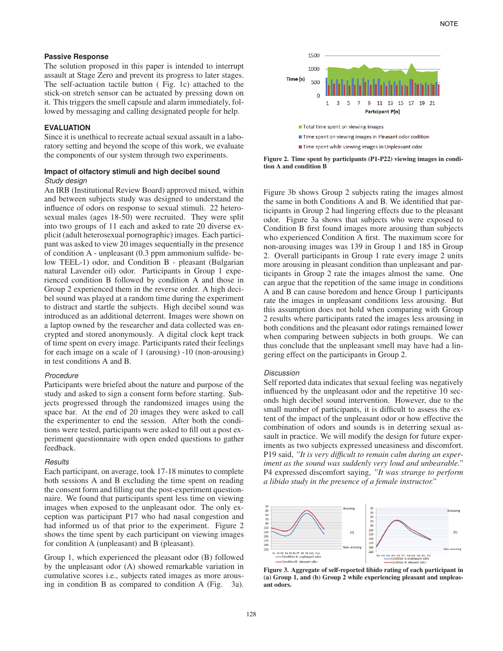#### **Passive Response**

The solution proposed in this paper is intended to interrupt assault at Stage Zero and prevent its progress to later stages. The self-actuation tactile button ( Fig. 1c) attached to the stick-on stretch sensor can be actuated by pressing down on it. This triggers the smell capsule and alarm immediately, followed by messaging and calling designated people for help.

## **EVALUATION**

Since it is unethical to recreate actual sexual assault in a laboratory setting and beyond the scope of this work, we evaluate the components of our system through two experiments.

### **Impact of olfactory stimuli and high decibel sound** *Study design*

An IRB (Institutional Review Board) approved mixed, within and between subjects study was designed to understand the influence of odors on response to sexual stimuli. 22 heterosexual males (ages 18-50) were recruited. They were split into two groups of 11 each and asked to rate 20 diverse explicit (adult heterosexual pornographic) images. Each participant was asked to view 20 images sequentially in the presence of condition A - unpleasant (0.3 ppm ammonium sulfide- below TEEL-1) odor, and Condition B - pleasant (Bulgarian natural Lavender oil) odor. Participants in Group 1 experienced condition B followed by condition A and those in Group 2 experienced them in the reverse order. A high decibel sound was played at a random time during the experiment to distract and startle the subjects. High decibel sound was introduced as an additional deterrent. Images were shown on a laptop owned by the researcher and data collected was encrypted and stored anonymously. A digital clock kept track of time spent on every image. Participants rated their feelings for each image on a scale of 1 (arousing) -10 (non-arousing) in test conditions A and B.

#### *Procedure*

Participants were briefed about the nature and purpose of the study and asked to sign a consent form before starting. Subjects progressed through the randomized images using the space bar. At the end of 20 images they were asked to call the experimenter to end the session. After both the conditions were tested, participants were asked to fill out a post experiment questionnaire with open ended questions to gather feedback.

#### *Results*

Each participant, on average, took 17-18 minutes to complete both sessions A and B excluding the time spent on reading the consent form and filling out the post-experiment questionnaire. We found that participants spent less time on viewing images when exposed to the unpleasant odor. The only exception was participant P17 who had nasal congestion and had informed us of that prior to the experiment. Figure 2 shows the time spent by each participant on viewing images for condition A (unpleasant) and B (pleasant).

Group 1, which experienced the pleasant odor (B) followed by the unpleasant odor (A) showed remarkable variation in cumulative scores i.e., subjects rated images as more arousing in condition B as compared to condition A (Fig. 3a).



Figure 2. Time spent by participants (P1-P22) viewing images in condition A and condition B

Figure 3b shows Group 2 subjects rating the images almost the same in both Conditions A and B. We identified that participants in Group 2 had lingering effects due to the pleasant odor. Figure 3a shows that subjects who were exposed to Condition B first found images more arousing than subjects who experienced Condition A first. The maximum score for non-arousing images was 139 in Group 1 and 185 in Group 2. Overall participants in Group 1 rate every image 2 units more arousing in pleasant condition than unpleasant and participants in Group 2 rate the images almost the same. One can argue that the repetition of the same image in conditions A and B can cause boredom and hence Group 1 participants rate the images in unpleasant conditions less arousing. But this assumption does not hold when comparing with Group 2 results where participants rated the images less arousing in both conditions and the pleasant odor ratings remained lower when comparing between subjects in both groups. We can thus conclude that the unpleasant smell may have had a lingering effect on the participants in Group 2.

#### *Discussion*

Self reported data indicates that sexual feeling was negatively influenced by the unpleasant odor and the repetitive 10 seconds high decibel sound intervention. However, due to the small number of participants, it is difficult to assess the extent of the impact of the unpleasant odor or how effective the combination of odors and sounds is in deterring sexual assault in practice. We will modify the design for future experiments as two subjects expressed uneasiness and discomfort. P19 said, *"It is very difficult to remain calm during an experiment as the sound was suddenly very loud and unbearable."* P4 expressed discomfort saying, *"It was strange to perform a libido study in the presence of a female instructor."*



Figure 3. Aggregate of self-reported libido rating of each participant in (a) Group 1, and (b) Group 2 while experiencing pleasant and unpleasant odors.